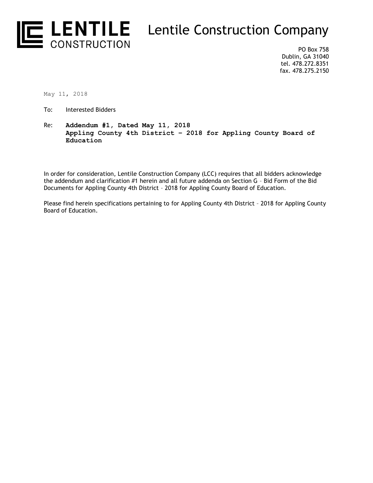

PO Box 758 Dublin, GA 31040 tel. 478.272.8351 fax. 478.275.2150

May 11, 2018

- To: Interested Bidders
- Re: **Addendum #1, Dated May 11, 2018 Appling County 4th District – 2018 for Appling County Board of Education**

In order for consideration, Lentile Construction Company (LCC) requires that all bidders acknowledge the addendum and clarification #1 herein and all future addenda on Section G – Bid Form of the Bid Documents for Appling County 4th District – 2018 for Appling County Board of Education.

Please find herein specifications pertaining to for Appling County 4th District – 2018 for Appling County Board of Education.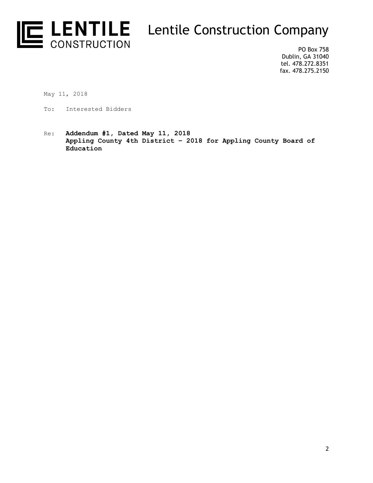

PO Box 758 Dublin, GA 31040 tel. 478.272.8351 fax. 478.275.2150

May 11, 2018

- To: Interested Bidders
- Re: **Addendum #1, Dated May 11, 2018 Appling County 4th District – 2018 for Appling County Board of Education**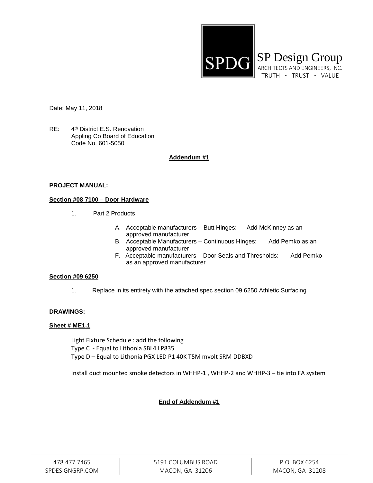

Date: May 11, 2018

 $RE:$ 4<sup>th</sup> District E.S. Renovation Appling Co Board of Education Code No. 601-5050

# **Addendum #1**

#### **PROJECT MANUAL:**

## **Section #08 7100 – Door Hardware**

- 1. Part 2 Products
	- A. Acceptable manufacturers Butt Hinges: Add McKinney as an approved manufacturer
	- B. Acceptable Manufacturers Continuous Hinges: Add Pemko as an approved manufacturer
	- F. Acceptable manufacturers Door Seals and Thresholds: Add Pemko as an approved manufacturer

#### **Section #09 6250**

1. Replace in its entirety with the attached spec section 09 6250 Athletic Surfacing

## **DRAWINGS:**

#### **Sheet # ME1.1**

Light Fixture Schedule : add the following Type C - Equal to Lithonia SBL4 LP835 Type D – Equal to Lithonia PGX LED P1 40K T5M mvolt SRM DDBXD

Install duct mounted smoke detectors in WHHP-1 , WHHP-2 and WHHP-3 – tie into FA system

## **End of Addendum #1**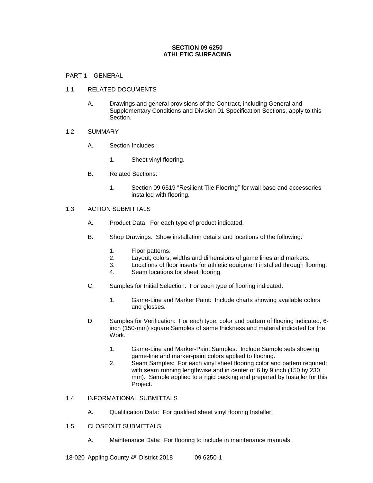### **SECTION 09 6250 ATHLETIC SURFACING**

#### PART 1 – GENERAL

#### 1.1 RELATED DOCUMENTS

A. Drawings and general provisions of the Contract, including General and Supplementary Conditions and Division 01 Specification Sections, apply to this Section.

#### 1.2 SUMMARY

- A. Section Includes;
	- 1. Sheet vinyl flooring.
- B. Related Sections:
	- 1. Section 09 6519 "Resilient Tile Flooring" for wall base and accessories installed with flooring.

### 1.3 ACTION SUBMITTALS

- A. Product Data: For each type of product indicated.
- B. Shop Drawings: Show installation details and locations of the following:
	- 1. Floor patterns.
	- 2. Layout, colors, widths and dimensions of game lines and markers.
	- 3. Locations of floor inserts for athletic equipment installed through flooring.
	- 4. Seam locations for sheet flooring.
- C. Samples for Initial Selection: For each type of flooring indicated.
	- 1. Game-Line and Marker Paint: Include charts showing available colors and glosses.
- D. Samples for Verification: For each type, color and pattern of flooring indicated, 6 inch (150-mm) square Samples of same thickness and material indicated for the Work.
	- 1. Game-Line and Marker-Paint Samples: Include Sample sets showing game-line and marker-paint colors applied to flooring.
	- 2. Seam Samples: For each vinyl sheet flooring color and pattern required; with seam running lengthwise and in center of 6 by 9 inch (150 by 230 mm). Sample applied to a rigid backing and prepared by Installer for this Project.

#### 1.4 INFORMATIONAL SUBMITTALS

- A. Qualification Data: For qualified sheet vinyl flooring Installer.
- 1.5 CLOSEOUT SUBMITTALS
	- A. Maintenance Data: For flooring to include in maintenance manuals.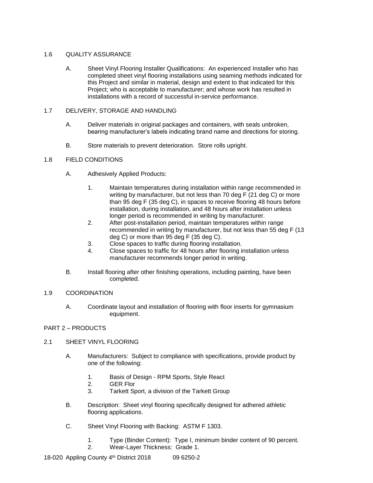### 1.6 QUALITY ASSURANCE

A. Sheet Vinyl Flooring Installer Qualifications: An experienced Installer who has completed sheet vinyl flooring installations using seaming methods indicated for this Project and similar in material, design and extent to that indicated for this Project; who is acceptable to manufacturer; and whose work has resulted in installations with a record of successful in-service performance.

## 1.7 DELIVERY, STORAGE AND HANDLING

- A. Deliver materials in original packages and containers, with seals unbroken, bearing manufacturer's labels indicating brand name and directions for storing.
- B. Store materials to prevent deterioration. Store rolls upright.

# 1.8 FIELD CONDITIONS

- A. Adhesively Applied Products:
	- 1. Maintain temperatures during installation within range recommended in writing by manufacturer, but not less than 70 deg F (21 deg C) or more than 95 deg F (35 deg C), in spaces to receive flooring 48 hours before installation, during installation, and 48 hours after installation unless longer period is recommended in writing by manufacturer.
	- 2. After post-installation period, maintain temperatures within range recommended in writing by manufacturer, but not less than 55 deg F (13 deg C) or more than 95 deg F (35 deg C).
	- 3. Close spaces to traffic during flooring installation.
	- 4. Close spaces to traffic for 48 hours after flooring installation unless manufacturer recommends longer period in writing.
- B. Install flooring after other finishing operations, including painting, have been completed.

## 1.9 COORDINATION

A. Coordinate layout and installation of flooring with floor inserts for gymnasium equipment.

# PART 2 – PRODUCTS

## 2.1 SHEET VINYL FLOORING

- A. Manufacturers: Subject to compliance with specifications, provide product by one of the following:
	- 1. Basis of Design RPM Sports, Style React
	- 2. GER Flor
	- 3. Tarkett Sport, a division of the Tarkett Group
- B. Description: Sheet vinyl flooring specifically designed for adhered athletic flooring applications.
- C. Sheet Vinyl Flooring with Backing: ASTM F 1303.
	- 1. Type (Binder Content): Type I, minimum binder content of 90 percent.
	- 2. Wear-Layer Thickness: Grade 1.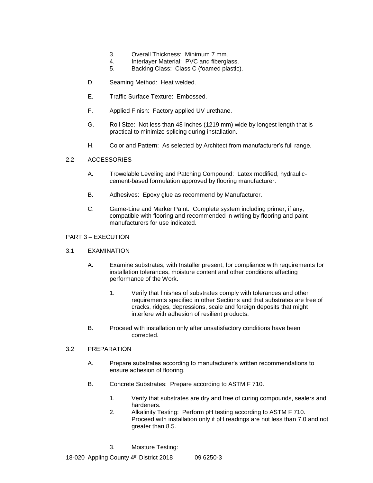- 3. Overall Thickness: Minimum 7 mm.
- 4. Interlayer Material: PVC and fiberglass.
- 5. Backing Class: Class C (foamed plastic).
- D. Seaming Method: Heat welded.
- E. Traffic Surface Texture: Embossed.
- F. Applied Finish: Factory applied UV urethane.
- G. Roll Size: Not less than 48 inches (1219 mm) wide by longest length that is practical to minimize splicing during installation.
- H. Color and Pattern: As selected by Architect from manufacturer's full range.

#### 2.2 ACCESSORIES

- A. Trowelable Leveling and Patching Compound: Latex modified, hydrauliccement-based formulation approved by flooring manufacturer.
- B. Adhesives: Epoxy glue as recommend by Manufacturer.
- C. Game-Line and Marker Paint: Complete system including primer, if any, compatible with flooring and recommended in writing by flooring and paint manufacturers for use indicated.

#### PART 3 – EXECUTION

#### 3.1 EXAMINATION

- A. Examine substrates, with Installer present, for compliance with requirements for installation tolerances, moisture content and other conditions affecting performance of the Work.
	- 1. Verify that finishes of substrates comply with tolerances and other requirements specified in other Sections and that substrates are free of cracks, ridges, depressions, scale and foreign deposits that might interfere with adhesion of resilient products.
- B. Proceed with installation only after unsatisfactory conditions have been corrected.

## 3.2 PREPARATION

- A. Prepare substrates according to manufacturer's written recommendations to ensure adhesion of flooring.
- B. Concrete Substrates: Prepare according to ASTM F 710.
	- 1. Verify that substrates are dry and free of curing compounds, sealers and hardeners.
	- 2. Alkalinity Testing: Perform pH testing according to ASTM F 710. Proceed with installation only if pH readings are not less than 7.0 and not greater than 8.5.
	- 3. Moisture Testing: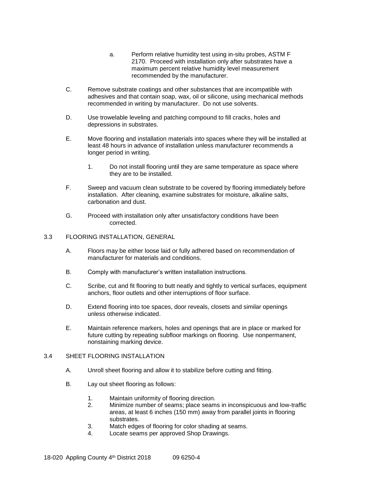- a. Perform relative humidity test using in-situ probes, ASTM F 2170. Proceed with installation only after substrates have a maximum percent relative humidity level measurement recommended by the manufacturer.
- C. Remove substrate coatings and other substances that are incompatible with adhesives and that contain soap, wax, oil or silicone, using mechanical methods recommended in writing by manufacturer. Do not use solvents.
- D. Use trowelable leveling and patching compound to fill cracks, holes and depressions in substrates.
- E. Move flooring and installation materials into spaces where they will be installed at least 48 hours in advance of installation unless manufacturer recommends a longer period in writing.
	- 1. Do not install flooring until they are same temperature as space where they are to be installed.
- F. Sweep and vacuum clean substrate to be covered by flooring immediately before installation. After cleaning, examine substrates for moisture, alkaline salts, carbonation and dust.
- G. Proceed with installation only after unsatisfactory conditions have been corrected.

#### 3.3 FLOORING INSTALLATION, GENERAL

- A. Floors may be either loose laid or fully adhered based on recommendation of manufacturer for materials and conditions.
- B. Comply with manufacturer's written installation instructions.
- C. Scribe, cut and fit flooring to butt neatly and tightly to vertical surfaces, equipment anchors, floor outlets and other interruptions of floor surface.
- D. Extend flooring into toe spaces, door reveals, closets and similar openings unless otherwise indicated.
- E. Maintain reference markers, holes and openings that are in place or marked for future cutting by repeating subfloor markings on flooring. Use nonpermanent, nonstaining marking device.

## 3.4 SHEET FLOORING INSTALLATION

- A. Unroll sheet flooring and allow it to stabilize before cutting and fitting.
- B. Lay out sheet flooring as follows:
	- 1. Maintain uniformity of flooring direction.
	- 2. Minimize number of seams; place seams in inconspicuous and low-traffic areas, at least 6 inches (150 mm) away from parallel joints in flooring substrates.
	- 3. Match edges of flooring for color shading at seams.
	- 4. Locate seams per approved Shop Drawings.